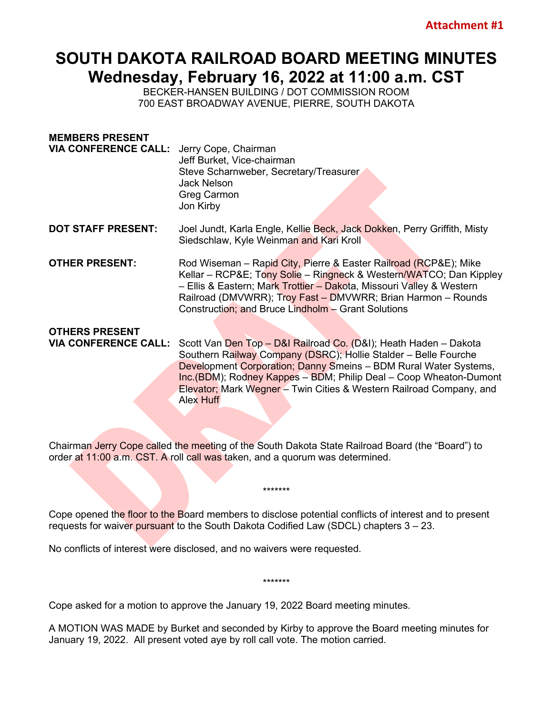## **SOUTH DAKOTA RAILROAD BOARD MEETING MINUTES Wednesday, February 16, 2022 at 11:00 a.m. CST**

BECKER-HANSEN BUILDING / DOT COMMISSION ROOM 700 EAST BROADWAY AVENUE, PIERRE, SOUTH DAKOTA

| <b>MEMBERS PRESENT</b><br><b>VIA CONFERENCE CALL:</b> | Jerry Cope, Chairman<br>Jeff Burket, Vice-chairman<br>Steve Scharnweber, Secretary/Treasurer<br><b>Jack Nelson</b><br>Greg Carmon<br>Jon Kirby                                                                                                                                                                                                                          |
|-------------------------------------------------------|-------------------------------------------------------------------------------------------------------------------------------------------------------------------------------------------------------------------------------------------------------------------------------------------------------------------------------------------------------------------------|
| <b>DOT STAFF PRESENT:</b>                             | Joel Jundt, Karla Engle, Kellie Beck, Jack Dokken, Perry Griffith, Misty<br>Siedschlaw, Kyle Weinman and Kari Kroll                                                                                                                                                                                                                                                     |
| <b>OTHER PRESENT:</b>                                 | Rod Wiseman - Rapid City, Pierre & Easter Railroad (RCP&E); Mike<br>Kellar – RCP&E Tony Solie – Ringneck & Western/WATCO; Dan Kippley<br>- Ellis & Eastern; Mark Trottier - Dakota, Missouri Valley & Western<br>Railroad (DMVWRR); Troy Fast - DMVWRR; Brian Harmon - Rounds<br>Construction; and Bruce Lindholm - Grant Solutions                                     |
| <b>OTHERS PRESENT</b>                                 |                                                                                                                                                                                                                                                                                                                                                                         |
| <b>VIA CONFERENCE CALL:</b>                           | Scott Van Den Top - D&I Railroad Co. (D&I); Heath Haden - Dakota<br>Southern Railway Company (DSRC); Hollie Stalder - Belle Fourche<br><b>Development Corporation; Danny Smeins - BDM Rural Water Systems,</b><br>Inc.(BDM); Rodney Kappes - BDM; Philip Deal - Coop Wheaton-Dumont<br>Elevator; Mark Wegner - Twin Cities & Western Railroad Company, and<br>Alex Huff |

Chairman Jerry Cope called the meeting of the South Dakota State Railroad Board (the "Board") to order at 11:00 a.m. CST. A roll call was taken, and a quorum was determined.

Cope opened the floor to the Board members to disclose potential conflicts of interest and to present requests for waiver pursuant to the South Dakota Codified Law (SDCL) chapters 3 – 23.

\*\*\*\*\*\*\*

No conflicts of interest were disclosed, and no waivers were requested.

Cope asked for a motion to approve the January 19, 2022 Board meeting minutes.

A MOTION WAS MADE by Burket and seconded by Kirby to approve the Board meeting minutes for January 19, 2022. All present voted aye by roll call vote. The motion carried.

\*\*\*\*\*\*\*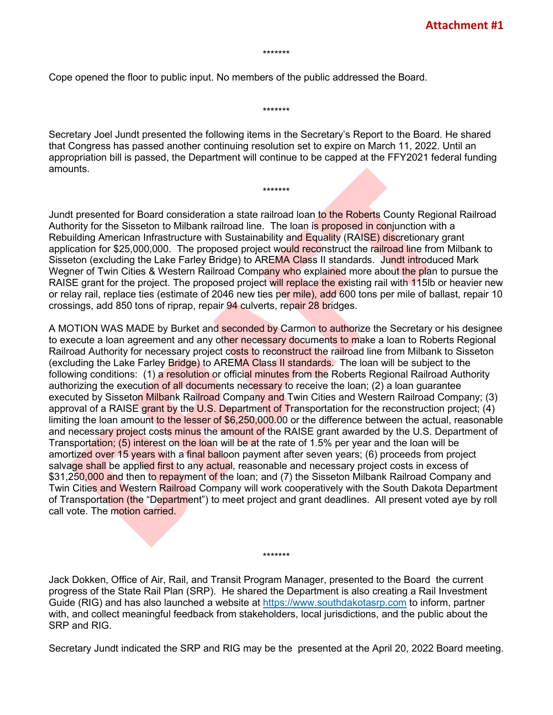\*\*\*\*\*\*\*

Cope opened the floor to public input. No members of the public addressed the Board.

Secretary Joel Jundt presented the following items in the Secretary's Report to the Board. He shared that Congress has passed another continuing resolution set to expire on March 11, 2022. Until an appropriation bill is passed, the Department will continue to be capped at the FFY2021 federal funding amounts.

\*\*\*\*\*\*\*

\*\*\*\*\*\*\*

Jundt presented for Board consideration a state railroad loan to the Roberts County Regional Railroad Authority for the Sisseton to Milbank railroad line. The loan is proposed in conjunction with a Rebuilding American Infrastructure with Sustainability and Equality (RAISE) discretionary grant application for \$25,000,000. The proposed project would reconstruct the railroad line from Milbank to Sisseton (excluding the Lake Farley Bridge) to AREMA Class II standards. Jundt introduced Mark Wegner of Twin Cities & Western Railroad Company who explained more about the plan to pursue the RAISE grant for the project. The proposed project will replace the existing rail with 115lb or heavier new or relay rail, replace ties (estimate of 2046 new ties per mile), add 600 tons per mile of ballast, repair 10 crossings, add 850 tons of riprap, repair 94 culverts, repair 28 bridges.

A MOTION WAS MADE by Burket and seconded by Carmon to authorize the Secretary or his designee to execute a loan agreement and any other necessary documents to make a loan to Roberts Regional Railroad Authority for necessary project costs to reconstruct the railroad line from Milbank to Sisseton (excluding the Lake Farley Bridge) to AREMA Class II standards. The loan will be subject to the following conditions: (1) a resolution or official minutes from the Roberts Regional Railroad Authority authorizing the execution of all documents necessary to receive the loan; (2) a loan guarantee executed by Sisseton Milbank Railroad Company and Twin Cities and Western Railroad Company; (3) approval of a RAISE grant by the U.S. Department of Transportation for the reconstruction project; (4) limiting the loan amount to the lesser of \$6,250,000.00 or the difference between the actual, reasonable and necessary project costs minus the amount of the RAISE grant awarded by the U.S. Department of Transportation; (5) interest on the loan will be at the rate of 1.5% per year and the loan will be amortized over 15 years with a final balloon payment after seven years; (6) proceeds from project salvage shall be applied first to any actual, reasonable and necessary project costs in excess of \$31,250,000 and then to repayment of the loan; and (7) the Sisseton Milbank Railroad Company and Twin Cities and Western Railroad Company will work cooperatively with the South Dakota Department of Transportation (the "Department") to meet project and grant deadlines. All present voted aye by roll call vote. The motion carried.

Jack Dokken, Office of Air, Rail, and Transit Program Manager, presented to the Board the current progress of the State Rail Plan (SRP). He shared the Department is also creating a Rail Investment Guide (RIG) and has also launched a website at [https://www.southdakotasrp.com](https://www.southdakotasrp.com/) to inform, partner with, and collect meaningful feedback from stakeholders, local jurisdictions, and the public about the SRP and RIG.

\*\*\*\*\*\*\*

Secretary Jundt indicated the SRP and RIG may be the presented at the April 20, 2022 Board meeting.